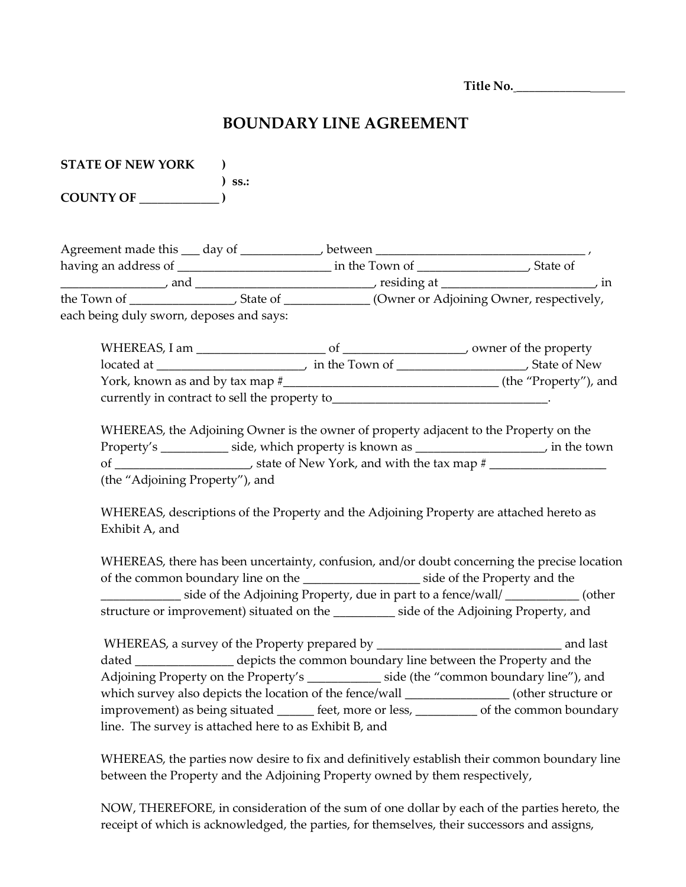**Title No.** \_\_\_\_\_\_\_\_\_\_\_\_

## **BOUNDARY LINE AGREEMENT**

| <b>STATE OF NEW YORK</b> |             |
|--------------------------|-------------|
|                          | $\sum$ ss.: |
| <b>COUNTY OF</b>         |             |

| Agreement made this<br>day of            | between        |                                          |
|------------------------------------------|----------------|------------------------------------------|
| having an address of                     | in the Town of | State of                                 |
| and                                      | residing at    | m                                        |
| the Town of                              | State of       | (Owner or Adjoining Owner, respectively, |
| each being duly sworn, deposes and says: |                |                                          |
|                                          |                |                                          |

WHEREAS, I am \_\_\_\_\_\_\_\_\_\_\_\_\_\_\_\_\_\_\_\_\_ of \_\_\_\_\_\_\_\_\_\_\_\_\_\_\_\_\_\_\_\_, owner of the property located at \_\_\_\_\_\_\_\_\_\_\_\_\_\_\_\_\_\_\_\_\_\_\_\_, in the Town of \_\_\_\_\_\_\_\_\_\_\_\_\_\_\_\_\_\_\_\_\_, State of New York, known as and by tax map #\_\_\_\_\_\_\_\_\_\_\_\_\_\_\_\_\_\_\_\_\_\_\_\_\_\_\_\_\_\_\_\_\_\_\_ (the "Property"), and currently in contract to sell the property to\_\_\_\_\_\_\_\_\_\_\_\_\_\_\_\_\_\_\_\_\_\_\_\_\_\_\_\_\_\_\_\_\_\_\_.

WHEREAS, the Adjoining Owner is the owner of property adjacent to the Property on the Property's \_\_\_\_\_\_\_\_\_\_\_ side, which property is known as \_\_\_\_\_\_\_\_\_\_\_\_\_\_\_\_\_\_\_, in the town of \_\_\_\_\_\_\_\_\_\_\_\_\_\_\_\_\_\_\_\_\_\_\_\_, state of New York, and with the tax map # \_\_\_\_\_\_\_\_\_\_\_\_\_\_\_\_\_\_\_\_\_\_\_\_\_\_\_\_ (the "Adjoining Property"), and

WHEREAS, descriptions of the Property and the Adjoining Property are attached hereto as Exhibit A, and

WHEREAS, there has been uncertainty, confusion, and/or doubt concerning the precise location of the common boundary line on the \_\_\_\_\_\_\_\_\_\_\_\_\_\_\_\_\_\_\_ side of the Property and the \_\_\_\_\_\_\_\_\_\_\_\_\_ side of the Adjoining Property, due in part to a fence/wall/ \_\_\_\_\_\_\_\_\_\_\_\_ (other structure or improvement) situated on the side of the Adjoining Property, and

WHEREAS, a survey of the Property prepared by \_\_\_\_\_\_\_\_\_\_\_\_\_\_\_\_\_\_\_\_\_\_\_\_\_\_\_\_\_\_ and last dated \_\_\_\_\_\_\_\_\_\_\_\_\_\_ depicts the common boundary line between the Property and the Adjoining Property on the Property's \_\_\_\_\_\_\_\_\_\_\_\_ side (the "common boundary line"), and which survey also depicts the location of the fence/wall \_\_\_\_\_\_\_\_\_\_\_\_\_\_\_\_\_\_\_ (other structure or improvement) as being situated <u>each</u> feet, more or less, of the common boundary line. The survey is attached here to as Exhibit B, and

WHEREAS, the parties now desire to fix and definitively establish their common boundary line between the Property and the Adjoining Property owned by them respectively,

NOW, THEREFORE, in consideration of the sum of one dollar by each of the parties hereto, the receipt of which is acknowledged, the parties, for themselves, their successors and assigns,